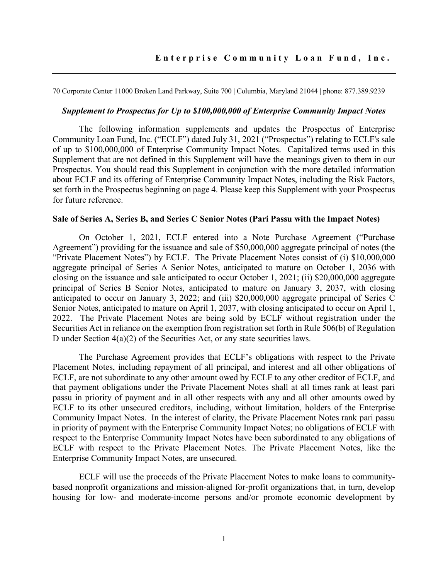70 Corporate Center 11000 Broken Land Parkway, Suite 700 | Columbia, Maryland 21044 | phone: 877.389.9239

#### *Supplement to Prospectus for Up to \$100,000,000 of Enterprise Community Impact Notes*

The following information supplements and updates the Prospectus of Enterprise Community Loan Fund, Inc. ("ECLF") dated July 31, 2021 ("Prospectus") relating to ECLF's sale of up to \$100,000,000 of Enterprise Community Impact Notes. Capitalized terms used in this Supplement that are not defined in this Supplement will have the meanings given to them in our Prospectus. You should read this Supplement in conjunction with the more detailed information about ECLF and its offering of Enterprise Community Impact Notes, including the Risk Factors, set forth in the Prospectus beginning on page 4. Please keep this Supplement with your Prospectus for future reference.

## **Sale of Series A, Series B, and Series C Senior Notes (Pari Passu with the Impact Notes)**

On October 1, 2021, ECLF entered into a Note Purchase Agreement ("Purchase Agreement") providing for the issuance and sale of \$50,000,000 aggregate principal of notes (the "Private Placement Notes") by ECLF. The Private Placement Notes consist of (i) \$10,000,000 aggregate principal of Series A Senior Notes, anticipated to mature on October 1, 2036 with closing on the issuance and sale anticipated to occur October 1, 2021; (ii) \$20,000,000 aggregate principal of Series B Senior Notes, anticipated to mature on January 3, 2037, with closing anticipated to occur on January 3, 2022; and (iii) \$20,000,000 aggregate principal of Series C Senior Notes, anticipated to mature on April 1, 2037, with closing anticipated to occur on April 1, 2022. The Private Placement Notes are being sold by ECLF without registration under the Securities Act in reliance on the exemption from registration set forth in Rule 506(b) of Regulation D under Section 4(a)(2) of the Securities Act, or any state securities laws.

The Purchase Agreement provides that ECLF's obligations with respect to the Private Placement Notes, including repayment of all principal, and interest and all other obligations of ECLF, are not subordinate to any other amount owed by ECLF to any other creditor of ECLF, and that payment obligations under the Private Placement Notes shall at all times rank at least pari passu in priority of payment and in all other respects with any and all other amounts owed by ECLF to its other unsecured creditors, including, without limitation, holders of the Enterprise Community Impact Notes. In the interest of clarity, the Private Placement Notes rank pari passu in priority of payment with the Enterprise Community Impact Notes; no obligations of ECLF with respect to the Enterprise Community Impact Notes have been subordinated to any obligations of ECLF with respect to the Private Placement Notes. The Private Placement Notes, like the Enterprise Community Impact Notes, are unsecured.

ECLF will use the proceeds of the Private Placement Notes to make loans to communitybased nonprofit organizations and mission-aligned for-profit organizations that, in turn, develop housing for low- and moderate-income persons and/or promote economic development by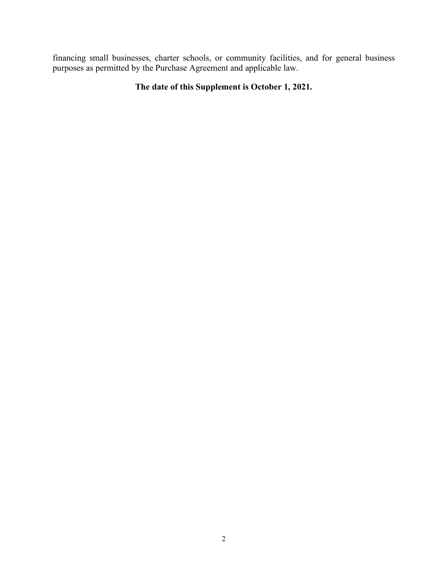financing small businesses, charter schools, or community facilities, and for general business purposes as permitted by the Purchase Agreement and applicable law.

# **The date of this Supplement is October 1, 2021.**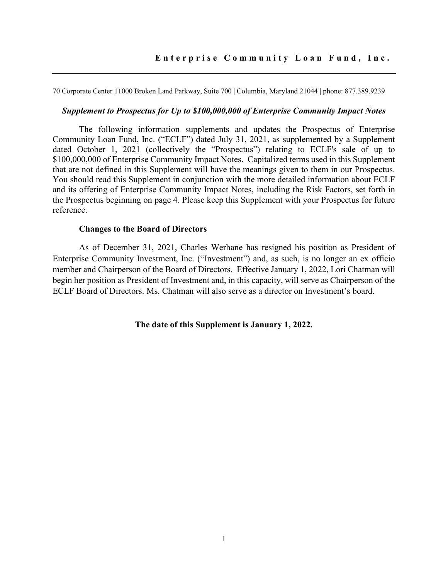70 Corporate Center 11000 Broken Land Parkway, Suite 700 | Columbia, Maryland 21044 | phone: 877.389.9239

#### *Supplement to Prospectus for Up to \$100,000,000 of Enterprise Community Impact Notes*

The following information supplements and updates the Prospectus of Enterprise Community Loan Fund, Inc. ("ECLF") dated July 31, 2021, as supplemented by a Supplement dated October 1, 2021 (collectively the "Prospectus") relating to ECLF's sale of up to \$100,000,000 of Enterprise Community Impact Notes. Capitalized terms used in this Supplement that are not defined in this Supplement will have the meanings given to them in our Prospectus. You should read this Supplement in conjunction with the more detailed information about ECLF and its offering of Enterprise Community Impact Notes, including the Risk Factors, set forth in the Prospectus beginning on page 4. Please keep this Supplement with your Prospectus for future reference.

## **Changes to the Board of Directors**

As of December 31, 2021, Charles Werhane has resigned his position as President of Enterprise Community Investment, Inc. ("Investment") and, as such, is no longer an ex officio member and Chairperson of the Board of Directors. Effective January 1, 2022, Lori Chatman will begin her position as President of Investment and, in this capacity, will serve as Chairperson of the ECLF Board of Directors. Ms. Chatman will also serve as a director on Investment's board.

**The date of this Supplement is January 1, 2022.**